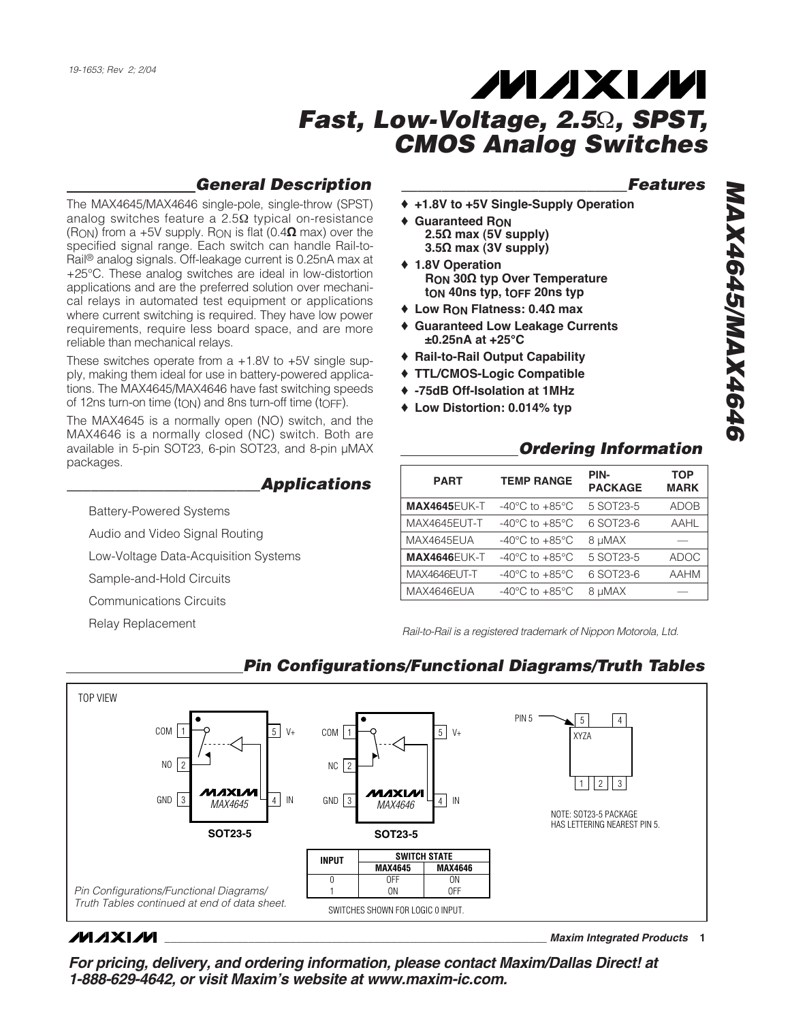#### *General Description*

The MAX4645/MAX4646 single-pole, single-throw (SPST) analog switches feature a 2.5Ω typical on-resistance (RON) from a +5V supply. RON is flat (0.4**Ω** max) over the specified signal range. Each switch can handle Rail-to-Rail® analog signals. Off-leakage current is 0.25nA max at +25°C. These analog switches are ideal in low-distortion applications and are the preferred solution over mechanical relays in automated test equipment or applications where current switching is required. They have low power requirements, require less board space, and are more reliable than mechanical relays.

These switches operate from a  $+1.8V$  to  $+5V$  single supply, making them ideal for use in battery-powered applications. The MAX4645/MAX4646 have fast switching speeds of 12ns turn-on time (tON) and 8ns turn-off time (tOFF).

The MAX4645 is a normally open (NO) switch, and the MAX4646 is a normally closed (NC) switch. Both are available in 5-pin SOT23, 6-pin SOT23, and 8-pin µMAX packages.

#### *\_\_\_\_\_\_\_\_\_\_\_\_\_\_\_\_\_\_\_\_\_\_\_\_Applications*

- Battery-Powered Systems
- Audio and Video Signal Routing
- Low-Voltage Data-Acquisition Systems
- Sample-and-Hold Circuits
- Communications Circuits
- Relay Replacement

#### *\_\_\_\_\_\_\_\_\_\_\_\_\_\_\_\_\_\_\_\_\_\_\_\_\_\_\_\_Features*

- ♦ **+1.8V to +5V Single-Supply Operation**
- ♦ **Guaranteed RON 2.5Ω max (5V supply) 3.5Ω max (3V supply)**
- ♦ **1.8V Operation RON 30Ω typ Over Temperature tON 40ns typ, tOFF 20ns typ**
- ♦ **Low RON Flatness: 0.4Ω max**
- **Guaranteed Low Leakage Currents ±0.25nA at +25°C**
- ♦ **Rail-to-Rail Output Capability**
- ♦ **TTL/CMOS-Logic Compatible**
- ♦ **-75dB Off-Isolation at 1MHz**
- ♦ **Low Distortion: 0.014% typ**

### *Ordering Information*

| <b>PART</b>         | <b>TEMP RANGE</b>                  | PIN-<br><b>PACKAGE</b> | <b>TOP</b><br><b>MARK</b> |  |
|---------------------|------------------------------------|------------------------|---------------------------|--|
| <b>MAX4645EUK-T</b> | $-40^{\circ}$ C to $+85^{\circ}$ C | 5 SOT23-5              | <b>ADOB</b>               |  |
| MAX4645EUT-T        | $-40^{\circ}$ C to $+85^{\circ}$ C | 6 SOT23-6              | AAHL                      |  |
| MAX4645EUA          | $-40^{\circ}$ C to $+85^{\circ}$ C | 8 µMAX                 |                           |  |
| <b>MAX4646EUK-T</b> | $-40^{\circ}$ C to $+85^{\circ}$ C | 5 SOT23-5              | <b>ADOC</b>               |  |
| MAX4646EUT-T        | $-40^{\circ}$ C to $+85^{\circ}$ C | 6 SOT23-6              | <b>AAHM</b>               |  |
| MAX4646EUA          | $-40^{\circ}$ C to $+85^{\circ}$ C | 8 µMAX                 |                           |  |

*Rail-to-Rail is a registered trademark of Nippon Motorola, Ltd.*



#### *Pin Configurations/Functional Diagrams/Truth Tables*

### **MAXIM**

**\_\_\_\_\_\_\_\_\_\_\_\_\_\_\_\_\_\_\_\_\_\_\_\_\_\_\_\_\_\_\_\_\_\_\_\_\_\_\_\_\_\_\_\_\_\_\_\_\_\_\_\_\_\_\_\_\_\_\_\_\_\_\_\_** *Maxim Integrated Products* **1**

*For pricing, delivery, and ordering information, please contact Maxim/Dallas Direct! at 1-888-629-4642, or visit Maxim's website at www.maxim-ic.com.*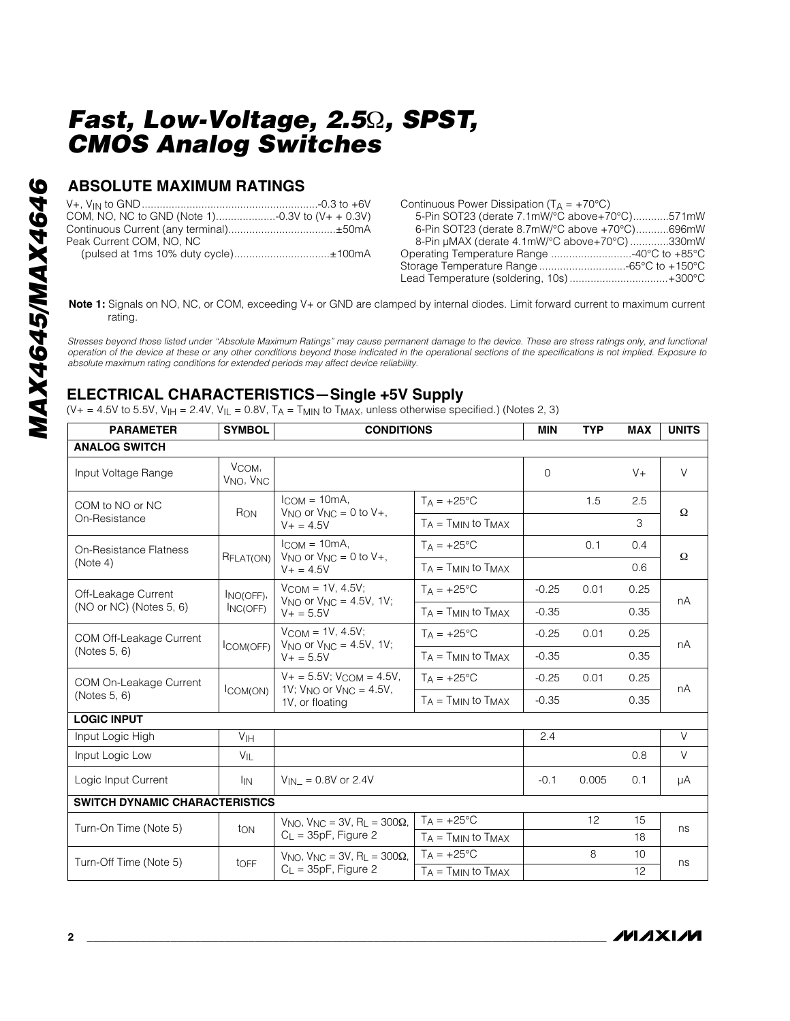### **ABSOLUTE MAXIMUM RATINGS**

| Peak Current COM, NO, NC             |  |
|--------------------------------------|--|
| (pulsed at 1ms 10% duty cycle)±100mA |  |

| Continuous Power Dissipation ( $T_A = +70^{\circ}C$ ) |  |
|-------------------------------------------------------|--|
| 5-Pin SOT23 (derate 7.1mW/°C above+70°C)571mW         |  |
| 6-Pin SOT23 (derate 8.7mW/°C above +70°C)696mW        |  |
| 8-Pin µMAX (derate 4.1mW/°C above+70°C)330mW          |  |
|                                                       |  |
|                                                       |  |
| Lead Temperature (soldering, 10s) +300°C              |  |

**Note 1:** Signals on NO, NC, or COM, exceeding V+ or GND are clamped by internal diodes. Limit forward current to maximum current rating.

*Stresses beyond those listed under "Absolute Maximum Ratings" may cause permanent damage to the device. These are stress ratings only, and functional operation of the device at these or any other conditions beyond those indicated in the operational sections of the specifications is not implied. Exposure to absolute maximum rating conditions for extended periods may affect device reliability.*

### **ELECTRICAL CHARACTERISTICS—Single +5V Supply**

 $(V_+ = 4.5V$  to 5.5V,  $V_{\text{I}} = 2.4V$ ,  $V_{\text{I}} = 0.8V$ ,  $T_A = T_{\text{MIN}}$  to  $T_{\text{MAX}}$ , unless otherwise specified.) (Notes 2, 3)

| <b>PARAMETER</b>                        | <b>SYMBOL</b>                                         | <b>CONDITIONS</b>                                                                         |                              |             | <b>TYP</b> | <b>MAX</b> | <b>UNITS</b> |  |
|-----------------------------------------|-------------------------------------------------------|-------------------------------------------------------------------------------------------|------------------------------|-------------|------------|------------|--------------|--|
| <b>ANALOG SWITCH</b>                    |                                                       |                                                                                           |                              |             |            |            |              |  |
| Input Voltage Range                     | V <sub>COM</sub><br>V <sub>NO</sub> , V <sub>NC</sub> |                                                                                           |                              | $\mathbf 0$ |            | $V +$      | $\vee$       |  |
| COM to NO or NC                         | RON                                                   | $I_{COM} = 10mA$ ,<br>$V_{NO}$ or $V_{NC} = 0$ to $V_{+}$ ,                               | $T_A = +25$ °C               |             | 1.5        | 2.5        | Ω            |  |
| On-Resistance                           |                                                       | $V + = 4.5V$                                                                              | $T_A = T_{MIN}$ to $T_{MAX}$ |             |            | 3          |              |  |
| On-Resistance Flatness                  | RFLAT(ON)                                             | $l_{COM} = 10mA$ ,<br>$V_{NO}$ or $V_{NC} = 0$ to $V_{+}$ ,                               | $T_A = +25$ °C               |             | 0.1        | 0.4        | Ω            |  |
| (Note 4)                                |                                                       | $V_+ = 4.5V$                                                                              | $T_A = T_{MIN}$ to $T_{MAX}$ |             |            | 0.6        |              |  |
| Off-Leakage Current                     | INO(OFF),                                             | $V_{COM} = 1V, 4.5V$                                                                      | $T_A = +25$ °C               | $-0.25$     | 0.01       | 0.25       | nA           |  |
| (NO or NC) (Notes 5, 6)                 | INC(OFF)                                              | $V_{\text{NO}}$ or $V_{\text{NC}} = 4.5V$ , 1V;<br>$V + 5.5V$                             | $T_A = T_{MIN}$ to $T_{MAX}$ | $-0.35$     |            | 0.35       |              |  |
| COM Off-Leakage Current<br>(Notes 5, 6) | ICOM(OFF)                                             | $V_{COM} = 1V, 4.5V$ ;<br>$V_{\text{NO}}$ or $V_{\text{NC}} = 4.5V$ , 1V;<br>$V + 5.5V$   | $T_A = +25$ °C               | $-0.25$     | 0.01       | 0.25       | nA           |  |
|                                         |                                                       |                                                                                           | $T_A = T_{MIN}$ to $T_{MAX}$ | $-0.35$     |            | 0.35       |              |  |
| COM On-Leakage Current<br>(Notes 5, 6)  | ICOM(ON)                                              | $V_+ = 5.5V$ ; $V_{COM} = 4.5V$ ,<br>1V; $V_{NO}$ or $V_{NC} = 4.5V$ ,<br>1V, or floating | $TA = +25^{\circ}C$          | $-0.25$     | 0.01       | 0.25       | nA           |  |
|                                         |                                                       |                                                                                           | $T_A = T_{MIN}$ to $T_{MAX}$ | $-0.35$     |            | 0.35       |              |  |
| <b>LOGIC INPUT</b>                      |                                                       |                                                                                           |                              |             |            |            |              |  |
| Input Logic High                        | V <sub>IH</sub>                                       |                                                                                           |                              | 2.4         |            |            | V            |  |
| Input Logic Low                         | $V_{\parallel}$                                       |                                                                                           |                              |             |            | 0.8        | V            |  |
| Logic Input Current                     | <sup>I</sup> IN                                       | $V_{IN} = 0.8V$ or 2.4V                                                                   |                              | $-0.1$      | 0.005      | 0.1        | μA           |  |
| <b>SWITCH DYNAMIC CHARACTERISTICS</b>   |                                                       |                                                                                           |                              |             |            |            |              |  |
| Turn-On Time (Note 5)                   | ton                                                   | $V_{NQ}$ , $V_{NC} = 3V$ , $R_1 = 300\Omega$ ,                                            | $T_A = +25$ °C               |             | 12         | 15         | ns           |  |
|                                         |                                                       | $C_{L}$ = 35pF, Figure 2                                                                  | $T_A = T_{MIN}$ to $T_{MAX}$ |             |            | 18         |              |  |
| Turn-Off Time (Note 5)                  | toFF                                                  | $V_{NQ}$ , $V_{NC} = 3V$ , $R_1 = 300\Omega$ ,                                            | $T_A = +25$ °C               |             | 8          | 10         | ns           |  |
|                                         |                                                       | $C_{L}$ = 35pF, Figure 2<br>$T_A = T_{MIN}$ to $T_{MAX}$                                  |                              |             |            | 12         |              |  |

/VI/IXI/VI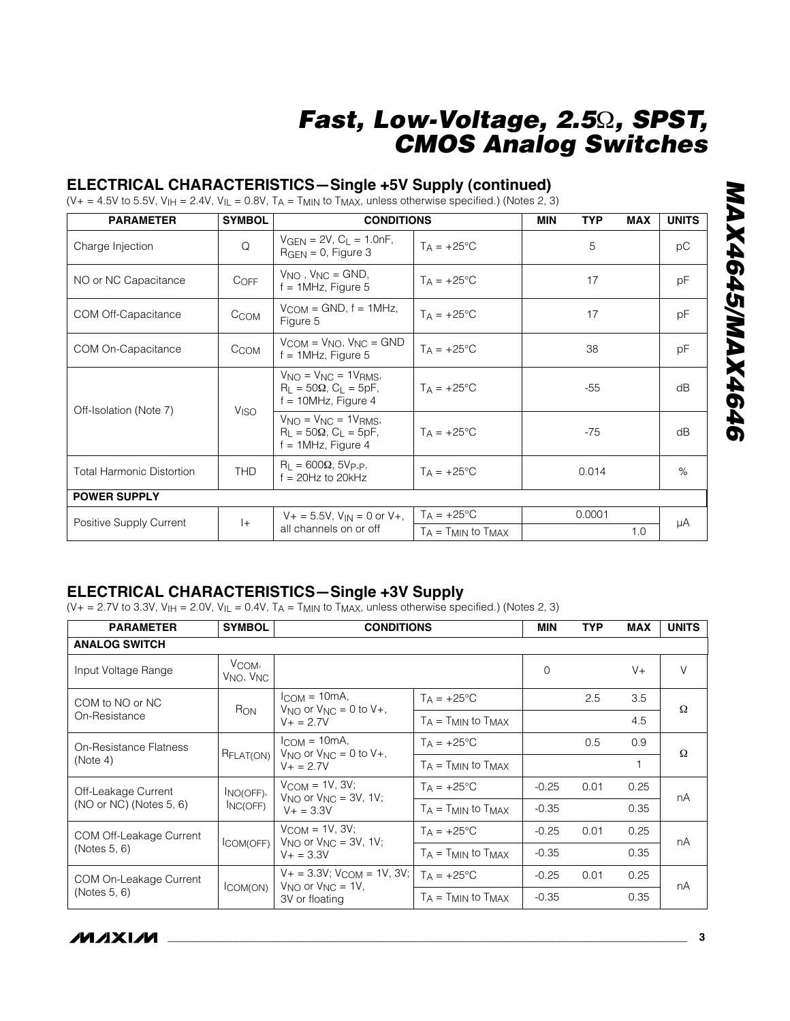### **ELECTRICAL CHARACTERISTICS—Single +5V Supply (continued)**

 $(V_+ = 4.5V$  to 5.5V,  $V_{\text{I}} = 2.4V$ ,  $V_{\text{I}} = 0.8V$ ,  $T_A = T_{\text{MIN}}$  to  $T_{\text{MAX}}$ , unless otherwise specified.) (Notes 2, 3)

| <b>PARAMETER</b>                 | <b>SYMBOL</b>    | <b>CONDITIONS</b>                                                                          | <b>TYP</b><br><b>MIN</b>     | <b>MAX</b> | <b>UNITS</b> |    |  |  |
|----------------------------------|------------------|--------------------------------------------------------------------------------------------|------------------------------|------------|--------------|----|--|--|
| Charge Injection                 | Q                | $V_{GEN} = 2V$ , $C_L = 1.0nF$ ,<br>$R_{\text{GFN}} = 0$ , Figure 3                        | $T_A = +25^{\circ}C$         | 5          |              | рC |  |  |
| NO or NC Capacitance             | $C$ OFF          | $V_{NO}$ , $V_{NC}$ = GND,<br>$f = 1$ MHz, Figure 5                                        | $Ta = +25^{\circ}C$          | 17         |              | pF |  |  |
| COM Off-Capacitance              | CCOM             | $V_{\text{COM}} =$ GND, $f = 1$ MHz,<br>$T_A = +25$ °C<br>17<br>Figure 5                   |                              |            | pF           |    |  |  |
| COM On-Capacitance               | CCOM             | $V_{COM} = V_{NO}$ , $V_{NC} = GND$<br>$f = 1$ MHz, Figure 5                               | $T_A = +25^{\circ}C$         | 38         |              | рF |  |  |
|                                  | V <sub>ISO</sub> | $V_{NO} = V_{NC} = 1V_{RMS}$<br>$R_1 = 50\Omega$ , $C_1 = 5pF$ ,<br>$f = 10$ MHz, Figure 4 | $Ta = +25^{\circ}C$          | -55        |              | dB |  |  |
| Off-Isolation (Note 7)           |                  | $V_{NO} = V_{NC} = 1V_{RMS}$<br>$R_1 = 50\Omega$ , $C_1 = 5pF$ ,<br>$f = 1$ MHz, Figure 4  | $T_A = +25^{\circ}C$         | $-75$      |              | dB |  |  |
| <b>Total Harmonic Distortion</b> | <b>THD</b>       | $R_1 = 600\Omega$ , 5Vp-p,<br>$T_A = +25$ °C<br>0.014<br>$f = 20Hz$ to 20kHz               |                              |            | $\%$         |    |  |  |
| <b>POWER SUPPLY</b>              |                  |                                                                                            |                              |            |              |    |  |  |
| Positive Supply Current          | $ +$             | $V_+$ = 5.5V, $V_{IN}$ = 0 or V <sub>+</sub> ,                                             | $T_A = +25$ °C               | 0.0001     |              | μA |  |  |
|                                  |                  | all channels on or off                                                                     | $T_A = T_{MIN}$ to $T_{MAX}$ |            | 1.0          |    |  |  |

### **ELECTRICAL CHARACTERISTICS—Single +3V Supply**

(V+ = 2.7V to 3.3V, V<sub>IH</sub> = 2.0V, V<sub>IL</sub> = 0.4V, T<sub>A</sub> = T<sub>MIN</sub> to T<sub>MAX</sub>, unless otherwise specified.) (Notes 2, 3)

| <b>PARAMETER</b>                       | <b>SYMBOL</b>                                           | <b>CONDITIONS</b>                                                                        | MIN                          | <b>TYP</b> | <b>MAX</b> | <b>UNITS</b> |        |
|----------------------------------------|---------------------------------------------------------|------------------------------------------------------------------------------------------|------------------------------|------------|------------|--------------|--------|
| <b>ANALOG SWITCH</b>                   |                                                         |                                                                                          |                              |            |            |              |        |
| Input Voltage Range                    | V <sub>COM</sub> ,<br>V <sub>NO</sub> , V <sub>NC</sub> |                                                                                          |                              | $\Omega$   |            | $V +$        | $\vee$ |
| COM to NO or NC                        | R <sub>ON</sub>                                         | $l_{COM} = 10mA$ ,<br>$V_{\text{N}\cap}$ or $V_{\text{N}\cap} = 0$ to $V_{\pm}$ .        | $T_A = +25$ °C               |            | 2.5        | 3.5          | Ω      |
| On-Resistance                          |                                                         | $V_+ = 2.7V$                                                                             | $T_A = T_{MIN}$ to $T_{MAX}$ |            |            | 4.5          |        |
| On-Resistance Flatness                 |                                                         | $l_{COM} = 10mA$<br>$V_{NO}$ or $V_{NC} = 0$ to $V_{+}$ ,<br>RFLAT(ON)<br>$V_+ = 2.7V$   | $Ta = +25^{\circ}C$          |            | 0.5        | 0.9          | Ω      |
| (Note 4)                               |                                                         |                                                                                          | $T_A = T_{MIN}$ to $T_{MAX}$ |            |            |              |        |
| Off-Leakage Current                    | INO(OFF),                                               | $V_{COM} = 1V$ , $3V$ ;<br>$V_{\text{NO}}$ or $V_{\text{NC}} = 3V$ , 1V;<br>$V + = 3.3V$ | $T_A = +25$ °C               | $-0.25$    | 0.01       | 0.25         | nA     |
| $(NO or NC)$ (Notes 5, 6)              | INC(OFF)                                                |                                                                                          | $T_A = T_{MIN}$ to $T_{MAX}$ | $-0.35$    |            | 0.35         |        |
| COM Off-Leakage Current                |                                                         | $V_{\text{COM}} = 1V$ , 3V;<br>$V_{\text{NO}}$ or $V_{\text{NC}} = 3V$ , 1V;             | $Ta = +25^{\circ}C$          | $-0.25$    | 0.01       | 0.25         | nA     |
| (Notes 5, 6)                           | COM(OFF)<br>$V_+ = 3.3V$                                |                                                                                          | $T_A = T_{MIN}$ to $T_{MAX}$ | $-0.35$    |            | 0.35         |        |
| COM On-Leakage Current<br>(Notes 5, 6) | ICOM(ON)                                                | $V_+ = 3.3V$ ; $V_{\text{COM}} = 1V$ , $3V$ ;                                            | $T_A = +25^{\circ}C$         | $-0.25$    | 0.01       | 0.25         | nA     |
|                                        |                                                         | $V_{NO}$ or $V_{NC} = 1V$ ,<br>3V or floating                                            | $T_A = T_{MIN}$ to $T_{MAX}$ | $-0.35$    |            | 0.35         |        |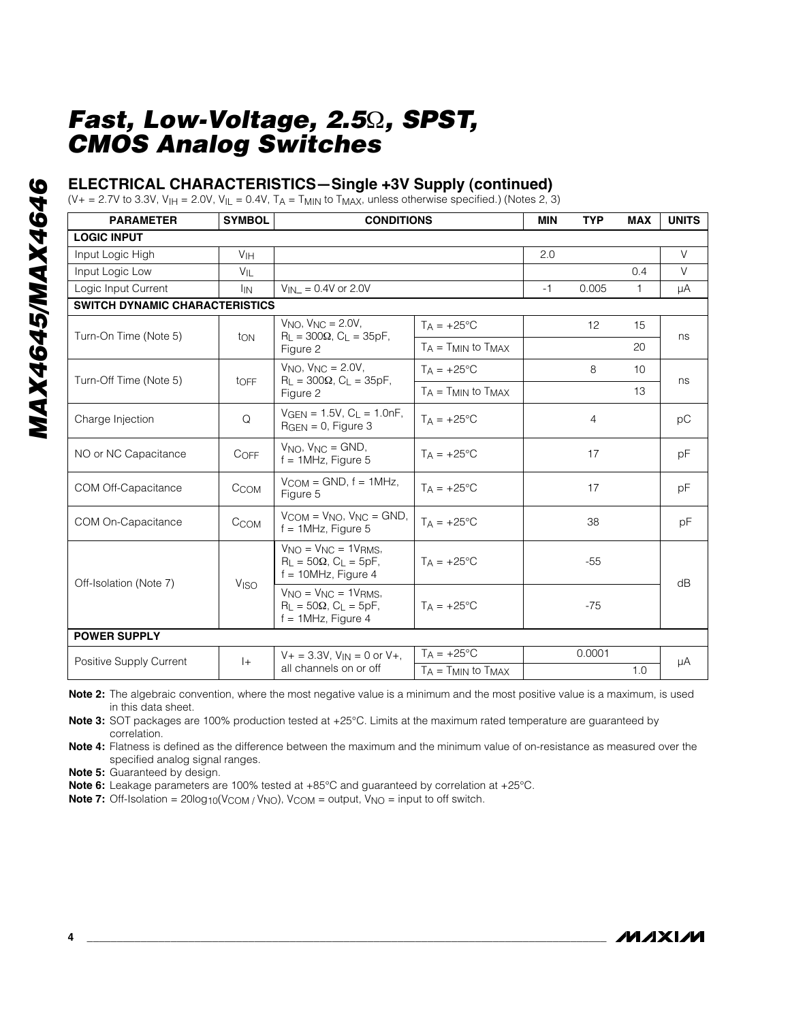### **ELECTRICAL CHARACTERISTICS—Single +3V Supply (continued)**

(V+ = 2.7V to 3.3V, V<sub>IH</sub> = 2.0V, V<sub>IL</sub> = 0.4V, T<sub>A</sub> = T<sub>MIN</sub> to T<sub>MAX</sub>, unless otherwise specified.) (Notes 2, 3)

| <b>PARAMETER</b>                      | <b>SYMBOL</b>   | <b>CONDITIONS</b>                                                                                       |                              |       | <b>TYP</b> | <b>MAX</b>   | <b>UNITS</b> |  |  |
|---------------------------------------|-----------------|---------------------------------------------------------------------------------------------------------|------------------------------|-------|------------|--------------|--------------|--|--|
| <b>LOGIC INPUT</b>                    |                 |                                                                                                         |                              |       |            |              |              |  |  |
| Input Logic High                      | V <sub>IH</sub> |                                                                                                         |                              | 2.0   |            |              | $\vee$       |  |  |
| Input Logic Low                       | $V_{IL}$        |                                                                                                         |                              |       |            | 0.4          | $\vee$       |  |  |
| Logic Input Current                   | <sup>I</sup> IN | $V_{IN} = 0.4V$ or 2.0V                                                                                 |                              | $-1$  | 0.005      | $\mathbf{1}$ | μA           |  |  |
| <b>SWITCH DYNAMIC CHARACTERISTICS</b> |                 |                                                                                                         |                              |       |            |              |              |  |  |
| Turn-On Time (Note 5)                 | ton             | $VNO$ , $VNC = 2.0V$ ,<br>$R_1 = 300\Omega$ , $C_1 = 35pF$ ,                                            | $T_A = +25$ °C               |       | 12         | 15           | ns           |  |  |
|                                       |                 | Figure 2                                                                                                | $T_A = T_{MIN}$ to $T_{MAX}$ |       |            | 20           |              |  |  |
| Turn-Off Time (Note 5)                |                 | $VNO$ , $VNC = 2.0V$ ,<br>$R_L = 300\Omega$ , $C_L = 35pF$ ,                                            | $T_A = +25$ °C               |       | 8          | 10           |              |  |  |
|                                       | toFF            | Figure 2                                                                                                | $T_A = T_{MIN}$ to $T_{MAX}$ |       |            | 13           | ns           |  |  |
| Charge Injection                      | Q               | $V_{\text{GFN}} = 1.5V, C_1 = 1.0nF,$<br>$RGEN = 0$ , Figure 3                                          | $T_A = +25$ °C               |       | 4          |              | pC           |  |  |
| NO or NC Capacitance                  | $C_{OFF}$       | $V_{NO}$ , $V_{NC}$ = GND,<br>$f = 1$ MHz, Figure 5                                                     | $T_A = +25$ °C               |       | 17         |              | pF           |  |  |
| COM Off-Capacitance                   | CCOM            | $V_{COM} = GND$ , $f = 1MHz$ ,<br>Figure 5                                                              | $TA = +25^{\circ}C$          |       | 17         |              | pF           |  |  |
| COM On-Capacitance                    | CCOM            | $V_{COM} = V_{NO}$ , $V_{NC} = GND$ ,<br>$f = 1$ MHz, Figure 5                                          | $T_A = +25$ °C               |       | 38         |              | pF           |  |  |
|                                       | Viso            | $V_{NO} = V_{NC} = 1V_{RMS}$<br>$R_1 = 50\Omega$ , $C_1 = 5pF$ ,<br>$f = 10$ MHz, Figure 4              | $T_A = +25$ °C<br>$-55$      |       |            | dB           |              |  |  |
| Off-Isolation (Note 7)                |                 | $V_{NO} = V_{NC} = 1V_{RMS}$<br>$R_{\perp}$ = 50 $\Omega$ , $C_{\perp}$ = 5pF,<br>$f = 1$ MHz, Figure 4 | $T_A = +25$ °C               | $-75$ |            |              |              |  |  |
| <b>POWER SUPPLY</b>                   |                 |                                                                                                         |                              |       |            |              |              |  |  |
| Positive Supply Current               | $ +$            | $V_+ = 3.3V$ , $V_{IN} = 0$ or $V_+$ ,                                                                  | $T_A = +25^{\circ}C$         |       | 0.0001     |              | μA           |  |  |
|                                       |                 | all channels on or off<br>$T_A = T_{MIN}$ to $T_{MAX}$                                                  |                              |       |            | 1.0          |              |  |  |

**Note 2:** The algebraic convention, where the most negative value is a minimum and the most positive value is a maximum, is used in this data sheet.

**Note 3:** SOT packages are 100% production tested at +25°C. Limits at the maximum rated temperature are guaranteed by correlation.

**Note 4:** Flatness is defined as the difference between the maximum and the minimum value of on-resistance as measured over the specified analog signal ranges.

**Note 5:** Guaranteed by design.

**Note 6:** Leakage parameters are 100% tested at +85°C and guaranteed by correlation at +25°C.

**Note 7:** Off-Isolation =  $20\log_{10}(V_{COM}/V_{NO})$ ,  $V_{COM}$  = output,  $V_{NO}$  = input to off switch.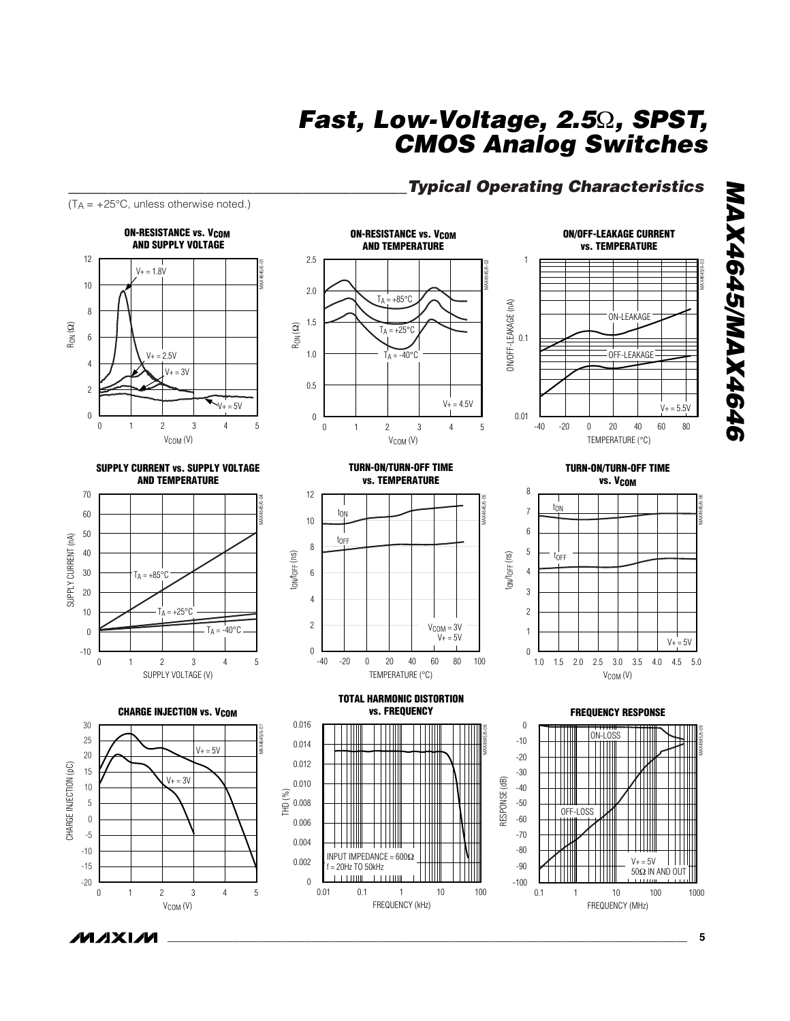## *\_\_\_\_\_\_\_\_\_\_\_\_\_\_\_\_\_\_\_\_\_\_\_\_\_\_\_\_\_\_\_\_\_\_\_\_\_\_\_\_\_\_Typical Operating Characteristics*



/VI/IXI/VI

 $(T_A = +25^{\circ}C$ , unless otherwise noted.)

*MAX4645/MAX4646*

**MAX4645/MAX4646**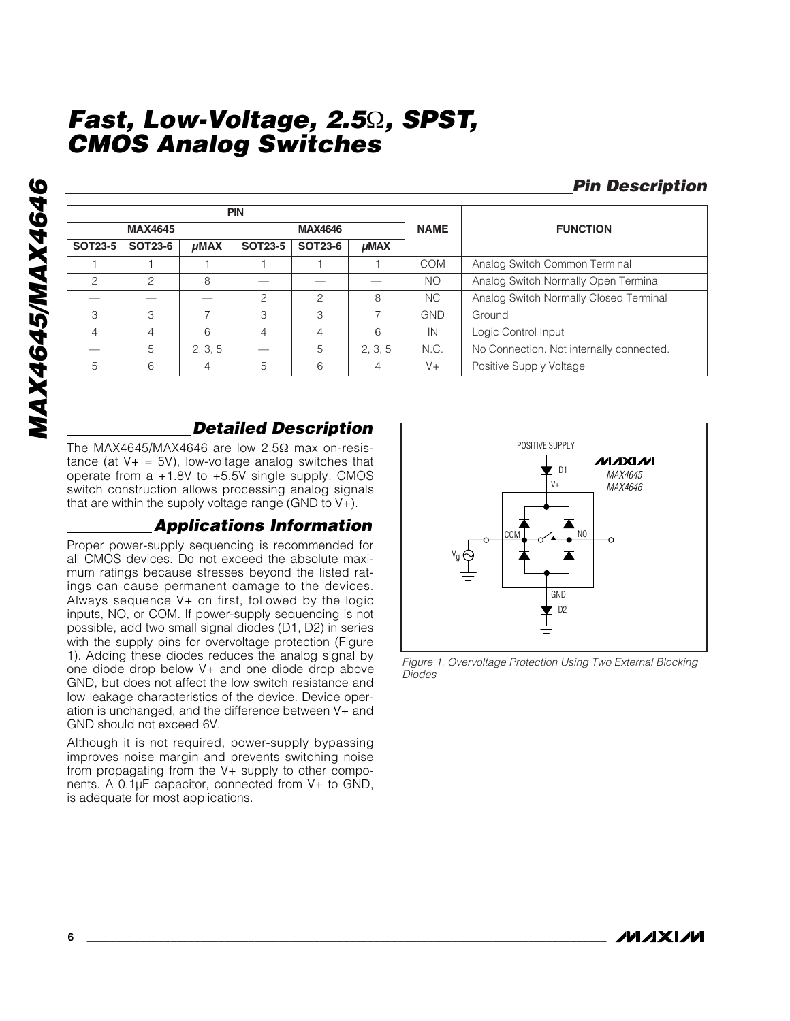### *Pin Description*

|                | <b>PIN</b>     |             |                |                |                |             |                                          |
|----------------|----------------|-------------|----------------|----------------|----------------|-------------|------------------------------------------|
|                | <b>MAX4645</b> |             |                | <b>MAX4646</b> |                | <b>NAME</b> | <b>FUNCTION</b>                          |
| <b>SOT23-5</b> | <b>SOT23-6</b> | <b>µMAX</b> | <b>SOT23-5</b> | <b>SOT23-6</b> | $\mu$ MAX      |             |                                          |
|                |                |             |                |                |                | <b>COM</b>  | Analog Switch Common Terminal            |
| 2              | 2              | 8           |                |                |                | <b>NO</b>   | Analog Switch Normally Open Terminal     |
|                |                |             | 2              | $\mathcal{P}$  | 8              | <b>NC</b>   | Analog Switch Normally Closed Terminal   |
| 3              | 3              |             | 3              | 3              |                | <b>GND</b>  | Ground                                   |
| $\overline{4}$ | 4              | 6           | 4              | 4              | 6              | IN          | Logic Control Input                      |
|                | 5              | 2.3.5       |                | 5              | 2, 3, 5        | N.C.        | No Connection. Not internally connected. |
| 5              | 6              | 4           | 5              | 6              | $\overline{4}$ | $V +$       | Positive Supply Voltage                  |

#### *Detailed Description*

The MAX4645/MAX4646 are low 2.5Ω max on-resistance (at  $V_+$  = 5V), low-voltage analog switches that operate from a +1.8V to +5.5V single supply. CMOS switch construction allows processing analog signals that are within the supply voltage range (GND to V+).

### *Applications Information*

Proper power-supply sequencing is recommended for all CMOS devices. Do not exceed the absolute maximum ratings because stresses beyond the listed ratings can cause permanent damage to the devices. Always sequence  $V+$  on first, followed by the logic inputs, NO, or COM. If power-supply sequencing is not possible, add two small signal diodes (D1, D2) in series with the supply pins for overvoltage protection (Figure 1). Adding these diodes reduces the analog signal by one diode drop below V+ and one diode drop above GND, but does not affect the low switch resistance and low leakage characteristics of the device. Device operation is unchanged, and the difference between V+ and GND should not exceed 6V.

Although it is not required, power-supply bypassing improves noise margin and prevents switching noise from propagating from the V+ supply to other components. A 0.1µF capacitor, connected from V+ to GND, is adequate for most applications.



*Figure 1. Overvoltage Protection Using Two External Blocking Diodes*

**MAXIM**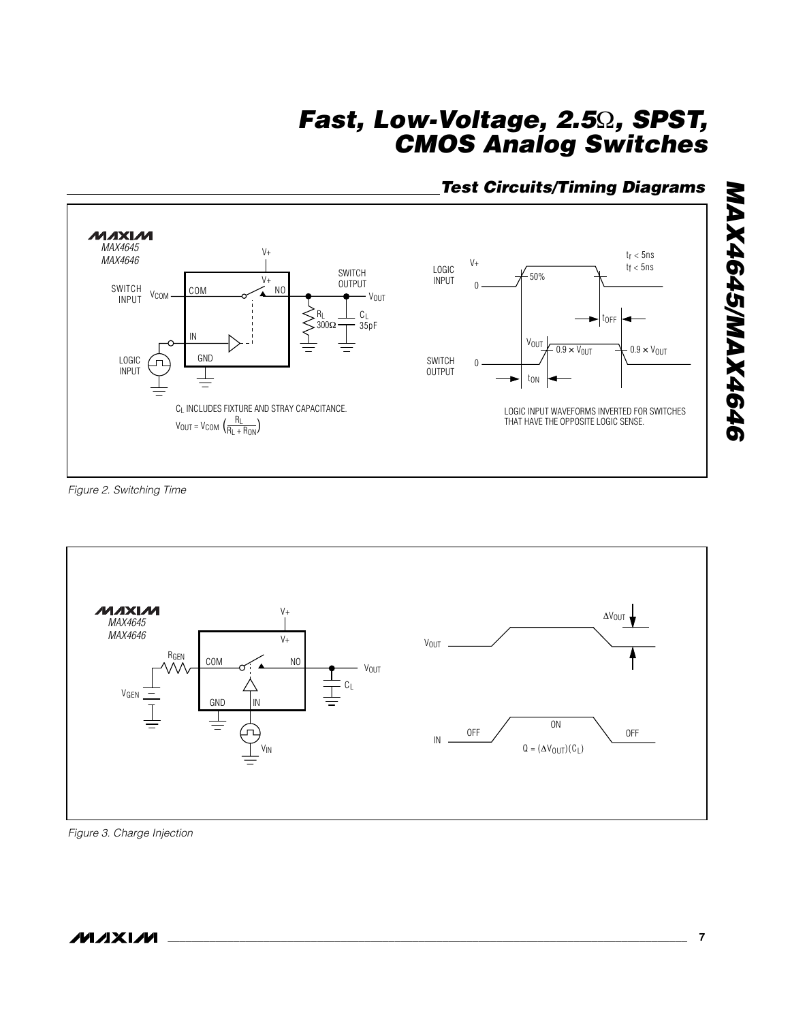## *Test Circuits/Timing Diagrams*



*Figure 2. Switching Time* 



**\_\_\_\_\_\_\_\_\_\_\_\_\_\_\_\_\_\_\_\_\_\_\_\_\_\_\_\_\_\_\_\_\_\_\_\_\_\_\_\_\_\_\_\_\_\_\_\_\_\_\_\_\_\_\_\_\_\_\_\_\_\_\_\_\_\_\_\_\_\_\_\_\_\_\_\_\_\_\_\_\_\_\_\_\_\_\_ 7**

*Figure 3. Charge Injection* 

*MAX4645/MAX4646*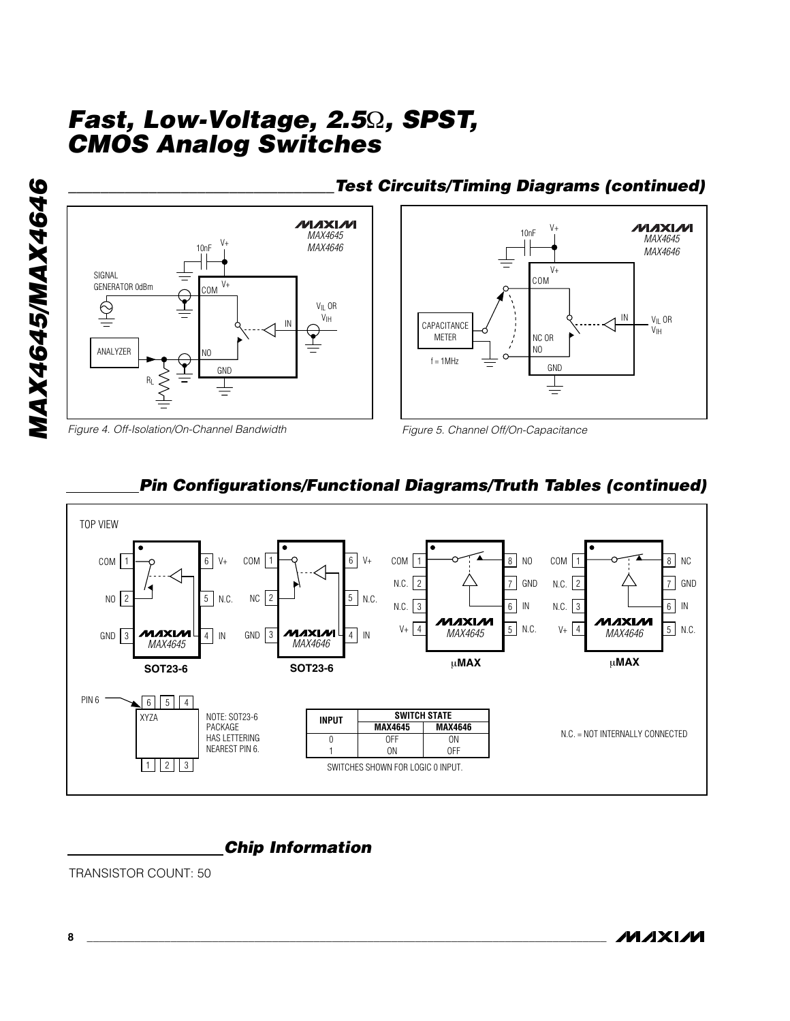



### *\_\_\_\_\_\_\_\_\_\_\_\_\_\_\_\_\_\_\_\_\_\_\_\_\_\_\_\_\_\_\_\_\_Test Circuits/Timing Diagrams (continued)*







### *Pin Configurations/Functional Diagrams/Truth Tables (continued)*

### *Chip Information*

TRANSISTOR COUNT: 50

*Figure 4. Off-Isolation/On-Channel Bandwidth*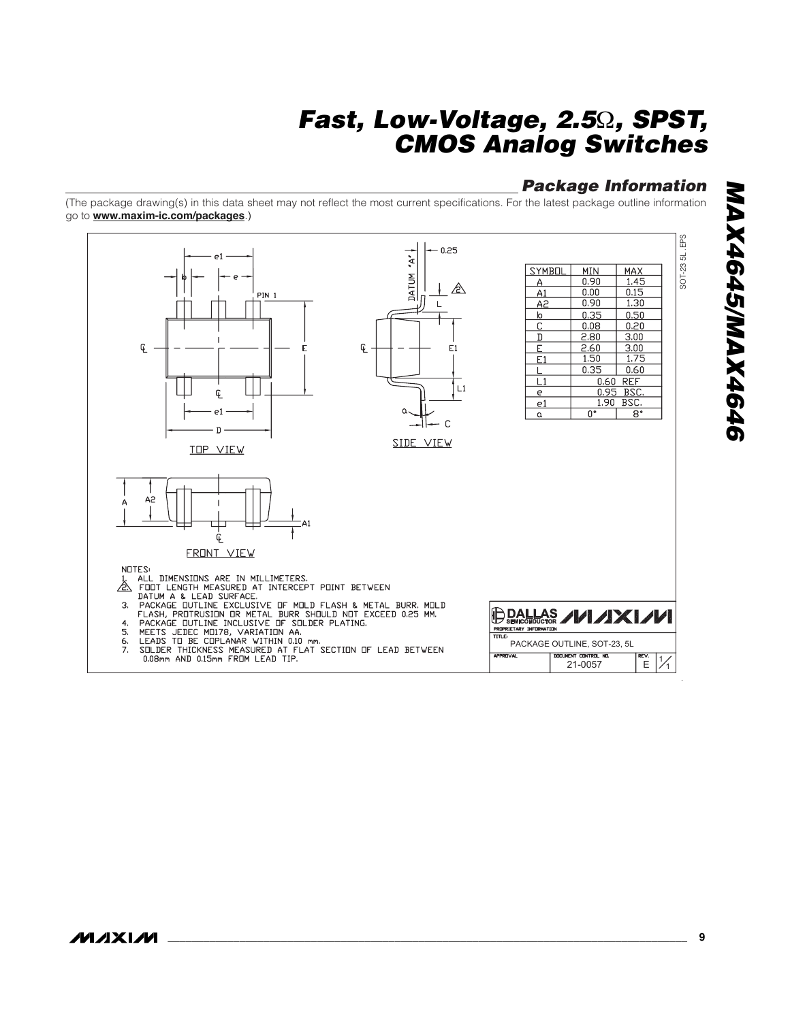### *Package Information*

(The package drawing(s) in this data sheet may not reflect the most current specifications. For the latest package outline information go to **www.maxim-ic.com/packages**.)

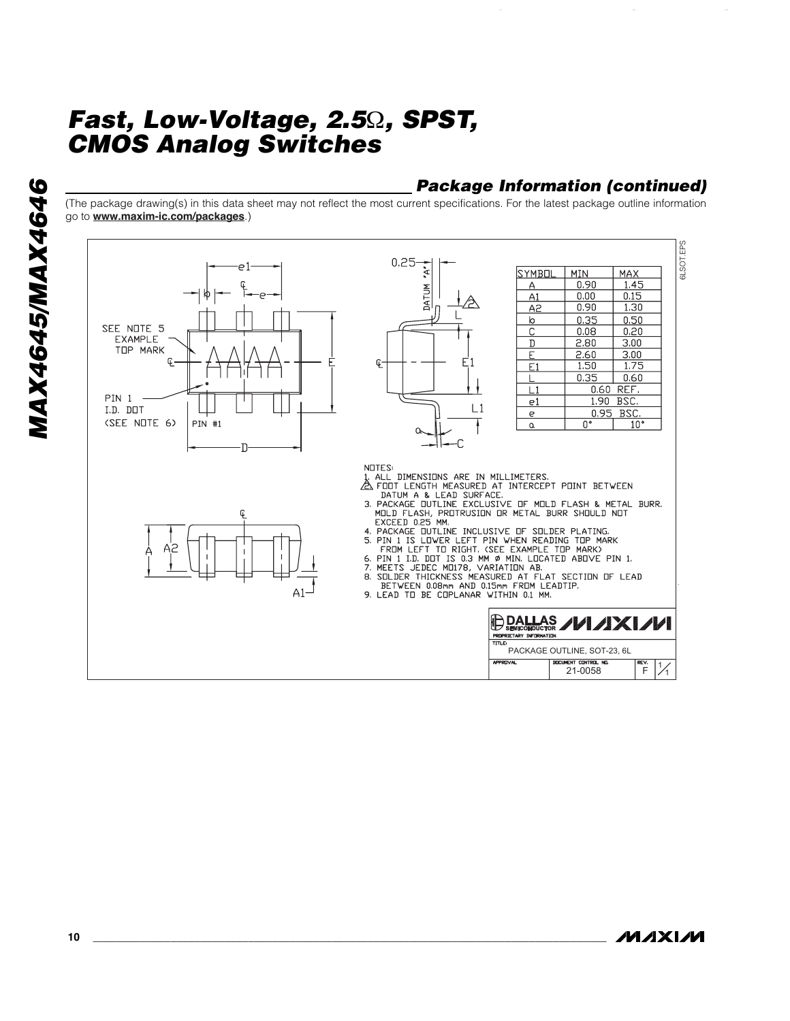## *Package Information (continued)*

(The package drawing(s) in this data sheet may not reflect the most current specifications. For the latest package outline information go to **www.maxim-ic.com/packages**.)



**MAX4645/MAX4646** *MAX4645/MAX4646*

**MAXIM**